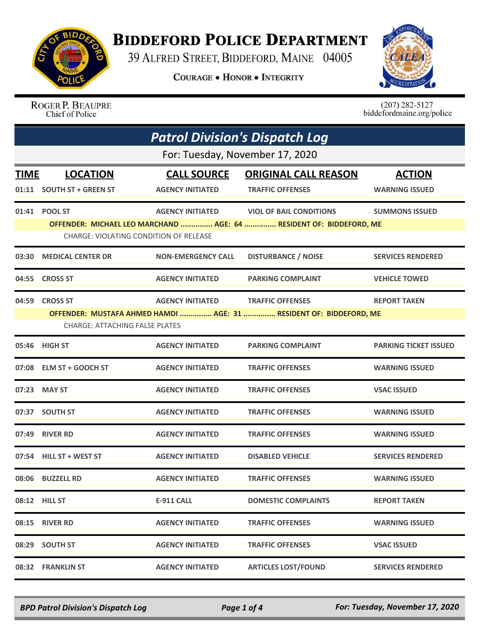

## **BIDDEFORD POLICE DEPARTMENT**

39 ALFRED STREET, BIDDEFORD, MAINE 04005

**COURAGE . HONOR . INTEGRITY** 



ROGER P. BEAUPRE Chief of Police

 $(207)$  282-5127<br>biddefordmaine.org/police

| <b>Patrol Division's Dispatch Log</b> |                                               |                           |                                                                     |                              |  |
|---------------------------------------|-----------------------------------------------|---------------------------|---------------------------------------------------------------------|------------------------------|--|
|                                       | For: Tuesday, November 17, 2020               |                           |                                                                     |                              |  |
| <b>TIME</b>                           | <b>LOCATION</b>                               | <b>CALL SOURCE</b>        | <b>ORIGINAL CALL REASON</b>                                         | <b>ACTION</b>                |  |
|                                       | 01:11 SOUTH ST + GREEN ST                     | <b>AGENCY INITIATED</b>   | <b>TRAFFIC OFFENSES</b>                                             | <b>WARNING ISSUED</b>        |  |
|                                       | 01:41 POOL ST                                 | <b>AGENCY INITIATED</b>   | <b>VIOL OF BAIL CONDITIONS</b>                                      | <b>SUMMONS ISSUED</b>        |  |
|                                       | <b>CHARGE: VIOLATING CONDITION OF RELEASE</b> |                           | OFFENDER: MICHAEL LEO MARCHAND  AGE: 64  RESIDENT OF: BIDDEFORD, ME |                              |  |
| 03:30                                 | <b>MEDICAL CENTER DR</b>                      | <b>NON-EMERGENCY CALL</b> | <b>DISTURBANCE / NOISE</b>                                          | <b>SERVICES RENDERED</b>     |  |
| 04:55                                 | <b>CROSS ST</b>                               | <b>AGENCY INITIATED</b>   | <b>PARKING COMPLAINT</b>                                            | <b>VEHICLE TOWED</b>         |  |
| 04:59                                 | <b>CROSS ST</b>                               | <b>AGENCY INITIATED</b>   | <b>TRAFFIC OFFENSES</b>                                             | <b>REPORT TAKEN</b>          |  |
|                                       |                                               |                           | OFFENDER: MUSTAFA AHMED HAMDI  AGE: 31  RESIDENT OF: BIDDEFORD, ME  |                              |  |
|                                       | <b>CHARGE: ATTACHING FALSE PLATES</b>         |                           |                                                                     |                              |  |
|                                       | 05:46 HIGH ST                                 | <b>AGENCY INITIATED</b>   | <b>PARKING COMPLAINT</b>                                            | <b>PARKING TICKET ISSUED</b> |  |
|                                       | 07:08 ELM ST + GOOCH ST                       | <b>AGENCY INITIATED</b>   | <b>TRAFFIC OFFENSES</b>                                             | <b>WARNING ISSUED</b>        |  |
|                                       | 07:23 MAY ST                                  | <b>AGENCY INITIATED</b>   | <b>TRAFFIC OFFENSES</b>                                             | <b>VSAC ISSUED</b>           |  |
| 07:37                                 | <b>SOUTH ST</b>                               | <b>AGENCY INITIATED</b>   | <b>TRAFFIC OFFENSES</b>                                             | <b>WARNING ISSUED</b>        |  |
| 07:49                                 | <b>RIVER RD</b>                               | <b>AGENCY INITIATED</b>   | <b>TRAFFIC OFFENSES</b>                                             | <b>WARNING ISSUED</b>        |  |
|                                       | 07:54 HILL ST + WEST ST                       | <b>AGENCY INITIATED</b>   | <b>DISABLED VEHICLE</b>                                             | <b>SERVICES RENDERED</b>     |  |
|                                       | 08:06 BUZZELL RD                              | <b>AGENCY INITIATED</b>   | <b>TRAFFIC OFFENSES</b>                                             | <b>WARNING ISSUED</b>        |  |
|                                       | 08:12 HILL ST                                 | <b>E-911 CALL</b>         | <b>DOMESTIC COMPLAINTS</b>                                          | <b>REPORT TAKEN</b>          |  |
|                                       | 08:15 RIVER RD                                | <b>AGENCY INITIATED</b>   | <b>TRAFFIC OFFENSES</b>                                             | <b>WARNING ISSUED</b>        |  |
|                                       | 08:29 SOUTH ST                                | <b>AGENCY INITIATED</b>   | <b>TRAFFIC OFFENSES</b>                                             | <b>VSAC ISSUED</b>           |  |
|                                       | 08:32 FRANKLIN ST                             | <b>AGENCY INITIATED</b>   | <b>ARTICLES LOST/FOUND</b>                                          | <b>SERVICES RENDERED</b>     |  |

*BPD Patrol Division's Dispatch Log Page 1 of 4 For: Tuesday, November 17, 2020*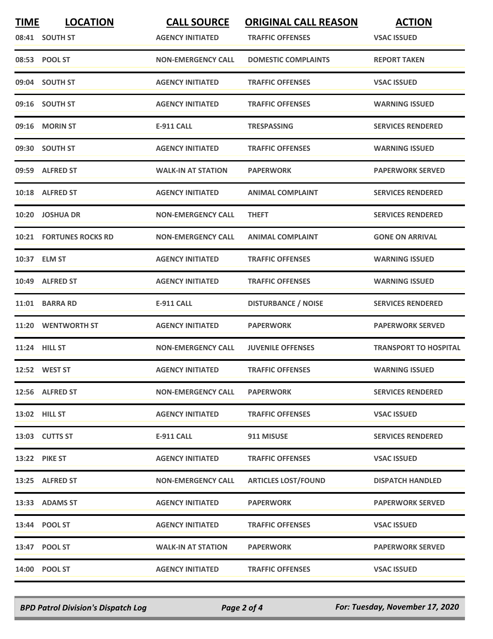| <b>TIME</b> | <b>LOCATION</b><br>08:41 SOUTH ST | <b>CALL SOURCE</b><br><b>AGENCY INITIATED</b> | <b>ORIGINAL CALL REASON</b><br><b>TRAFFIC OFFENSES</b> | <b>ACTION</b><br><b>VSAC ISSUED</b> |
|-------------|-----------------------------------|-----------------------------------------------|--------------------------------------------------------|-------------------------------------|
|             | 08:53 POOL ST                     | <b>NON-EMERGENCY CALL</b>                     | <b>DOMESTIC COMPLAINTS</b>                             | <b>REPORT TAKEN</b>                 |
|             | 09:04 SOUTH ST                    | <b>AGENCY INITIATED</b>                       | <b>TRAFFIC OFFENSES</b>                                | <b>VSAC ISSUED</b>                  |
|             | 09:16 SOUTH ST                    | <b>AGENCY INITIATED</b>                       | <b>TRAFFIC OFFENSES</b>                                | <b>WARNING ISSUED</b>               |
|             | 09:16 MORIN ST                    | <b>E-911 CALL</b>                             | <b>TRESPASSING</b>                                     | <b>SERVICES RENDERED</b>            |
|             | 09:30 SOUTH ST                    | <b>AGENCY INITIATED</b>                       | <b>TRAFFIC OFFENSES</b>                                | <b>WARNING ISSUED</b>               |
|             | 09:59 ALFRED ST                   | <b>WALK-IN AT STATION</b>                     | <b>PAPERWORK</b>                                       | <b>PAPERWORK SERVED</b>             |
|             | 10:18 ALFRED ST                   | <b>AGENCY INITIATED</b>                       | <b>ANIMAL COMPLAINT</b>                                | <b>SERVICES RENDERED</b>            |
| 10:20       | <b>JOSHUA DR</b>                  | <b>NON-EMERGENCY CALL</b>                     | <b>THEFT</b>                                           | <b>SERVICES RENDERED</b>            |
|             | <b>10:21 FORTUNES ROCKS RD</b>    | <b>NON-EMERGENCY CALL</b>                     | <b>ANIMAL COMPLAINT</b>                                | <b>GONE ON ARRIVAL</b>              |
|             | 10:37 ELM ST                      | <b>AGENCY INITIATED</b>                       | <b>TRAFFIC OFFENSES</b>                                | <b>WARNING ISSUED</b>               |
|             | 10:49 ALFRED ST                   | <b>AGENCY INITIATED</b>                       | <b>TRAFFIC OFFENSES</b>                                | <b>WARNING ISSUED</b>               |
| 11:01       | <b>BARRA RD</b>                   | <b>E-911 CALL</b>                             | <b>DISTURBANCE / NOISE</b>                             | <b>SERVICES RENDERED</b>            |
| 11:20       | <b>WENTWORTH ST</b>               | <b>AGENCY INITIATED</b>                       | <b>PAPERWORK</b>                                       | <b>PAPERWORK SERVED</b>             |
|             | 11:24 HILL ST                     | <b>NON-EMERGENCY CALL</b>                     | <b>JUVENILE OFFENSES</b>                               | <b>TRANSPORT TO HOSPITAL</b>        |
|             | 12:52 WEST ST                     | <b>AGENCY INITIATED</b>                       | <b>TRAFFIC OFFENSES</b>                                | <b>WARNING ISSUED</b>               |
|             | 12:56 ALFRED ST                   | <b>NON-EMERGENCY CALL</b>                     | <b>PAPERWORK</b>                                       | <b>SERVICES RENDERED</b>            |
|             | <b>13:02 HILL ST</b>              | <b>AGENCY INITIATED</b>                       | <b>TRAFFIC OFFENSES</b>                                | <b>VSAC ISSUED</b>                  |
|             | 13:03 CUTTS ST                    | E-911 CALL                                    | 911 MISUSE                                             | <b>SERVICES RENDERED</b>            |
|             | <b>13:22 PIKE ST</b>              | <b>AGENCY INITIATED</b>                       | <b>TRAFFIC OFFENSES</b>                                | <b>VSAC ISSUED</b>                  |
|             | 13:25 ALFRED ST                   | <b>NON-EMERGENCY CALL</b>                     | <b>ARTICLES LOST/FOUND</b>                             | <b>DISPATCH HANDLED</b>             |
|             | 13:33 ADAMS ST                    | <b>AGENCY INITIATED</b>                       | <b>PAPERWORK</b>                                       | <b>PAPERWORK SERVED</b>             |
|             | 13:44 POOL ST                     | <b>AGENCY INITIATED</b>                       | <b>TRAFFIC OFFENSES</b>                                | <b>VSAC ISSUED</b>                  |
|             | 13:47 POOL ST                     | <b>WALK-IN AT STATION</b>                     | <b>PAPERWORK</b>                                       | <b>PAPERWORK SERVED</b>             |
|             | 14:00 POOL ST                     | <b>AGENCY INITIATED</b>                       | <b>TRAFFIC OFFENSES</b>                                | <b>VSAC ISSUED</b>                  |

*BPD Patrol Division's Dispatch Log Page 2 of 4 For: Tuesday, November 17, 2020*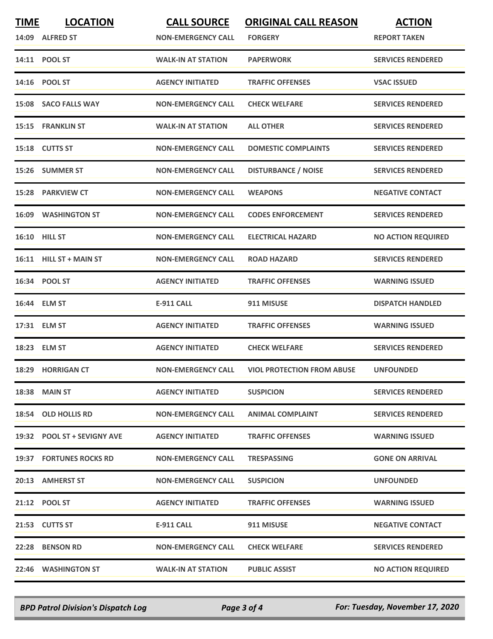| <b>TIME</b> | <b>LOCATION</b><br>14:09 ALFRED ST | <b>CALL SOURCE</b><br><b>NON-EMERGENCY CALL</b> | <b>ORIGINAL CALL REASON</b><br><b>FORGERY</b> | <b>ACTION</b><br><b>REPORT TAKEN</b> |
|-------------|------------------------------------|-------------------------------------------------|-----------------------------------------------|--------------------------------------|
|             | 14:11 POOL ST                      | <b>WALK-IN AT STATION</b>                       | <b>PAPERWORK</b>                              | <b>SERVICES RENDERED</b>             |
|             | 14:16 POOL ST                      | <b>AGENCY INITIATED</b>                         | <b>TRAFFIC OFFENSES</b>                       | <b>VSAC ISSUED</b>                   |
|             | 15:08 SACO FALLS WAY               | <b>NON-EMERGENCY CALL</b>                       | <b>CHECK WELFARE</b>                          | <b>SERVICES RENDERED</b>             |
|             | 15:15 FRANKLIN ST                  | <b>WALK-IN AT STATION</b>                       | <b>ALL OTHER</b>                              | <b>SERVICES RENDERED</b>             |
|             | 15:18 CUTTS ST                     | <b>NON-EMERGENCY CALL</b>                       | <b>DOMESTIC COMPLAINTS</b>                    | <b>SERVICES RENDERED</b>             |
|             | 15:26 SUMMER ST                    | <b>NON-EMERGENCY CALL</b>                       | <b>DISTURBANCE / NOISE</b>                    | <b>SERVICES RENDERED</b>             |
|             | 15:28 PARKVIEW CT                  | <b>NON-EMERGENCY CALL</b>                       | <b>WEAPONS</b>                                | <b>NEGATIVE CONTACT</b>              |
|             | <b>16:09 WASHINGTON ST</b>         | <b>NON-EMERGENCY CALL</b>                       | <b>CODES ENFORCEMENT</b>                      | <b>SERVICES RENDERED</b>             |
|             | <b>16:10 HILL ST</b>               | <b>NON-EMERGENCY CALL</b>                       | <b>ELECTRICAL HAZARD</b>                      | <b>NO ACTION REQUIRED</b>            |
|             | 16:11 HILL ST + MAIN ST            | <b>NON-EMERGENCY CALL</b>                       | <b>ROAD HAZARD</b>                            | <b>SERVICES RENDERED</b>             |
|             | 16:34 POOL ST                      | <b>AGENCY INITIATED</b>                         | <b>TRAFFIC OFFENSES</b>                       | <b>WARNING ISSUED</b>                |
|             | 16:44 ELM ST                       | <b>E-911 CALL</b>                               | 911 MISUSE                                    | <b>DISPATCH HANDLED</b>              |
| 17:31       | <b>ELM ST</b>                      | <b>AGENCY INITIATED</b>                         | <b>TRAFFIC OFFENSES</b>                       | <b>WARNING ISSUED</b>                |
|             | 18:23 ELM ST                       | <b>AGENCY INITIATED</b>                         | <b>CHECK WELFARE</b>                          | <b>SERVICES RENDERED</b>             |
|             | 18:29 HORRIGAN CT                  | <b>NON-EMERGENCY CALL</b>                       | <b>VIOL PROTECTION FROM ABUSE</b>             | <b>UNFOUNDED</b>                     |
|             | <b>18:38 MAIN ST</b>               | <b>AGENCY INITIATED</b>                         | <b>SUSPICION</b>                              | <b>SERVICES RENDERED</b>             |
|             | 18:54 OLD HOLLIS RD                | <b>NON-EMERGENCY CALL</b>                       | <b>ANIMAL COMPLAINT</b>                       | <b>SERVICES RENDERED</b>             |
|             | 19:32 POOL ST + SEVIGNY AVE        | <b>AGENCY INITIATED</b>                         | <b>TRAFFIC OFFENSES</b>                       | <b>WARNING ISSUED</b>                |
|             | 19:37 FORTUNES ROCKS RD            | <b>NON-EMERGENCY CALL</b>                       | <b>TRESPASSING</b>                            | <b>GONE ON ARRIVAL</b>               |
|             | 20:13 AMHERST ST                   | <b>NON-EMERGENCY CALL</b>                       | <b>SUSPICION</b>                              | <b>UNFOUNDED</b>                     |
|             | 21:12 POOL ST                      | <b>AGENCY INITIATED</b>                         | <b>TRAFFIC OFFENSES</b>                       | <b>WARNING ISSUED</b>                |
|             | 21:53 CUTTS ST                     | E-911 CALL                                      | 911 MISUSE                                    | <b>NEGATIVE CONTACT</b>              |
|             | 22:28 BENSON RD                    | <b>NON-EMERGENCY CALL</b>                       | <b>CHECK WELFARE</b>                          | <b>SERVICES RENDERED</b>             |
|             | 22:46 WASHINGTON ST                | <b>WALK-IN AT STATION</b>                       | <b>PUBLIC ASSIST</b>                          | <b>NO ACTION REQUIRED</b>            |

*BPD Patrol Division's Dispatch Log Page 3 of 4 For: Tuesday, November 17, 2020*